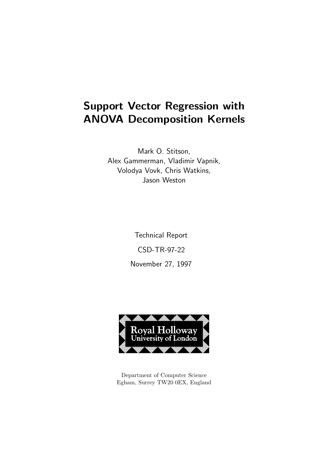# Support Vector Regression with ANOVA Decomposition Kernels

Mark O. Stitson, Alex Gammerman, Vladimir Vapnik, Volodya Vovk, Chris Watkins, Jason Weston

> Technical Report CSD-TR-97-22 November 27, 1997



Department of Computer Science Egham, Surrey TW20 0EX, England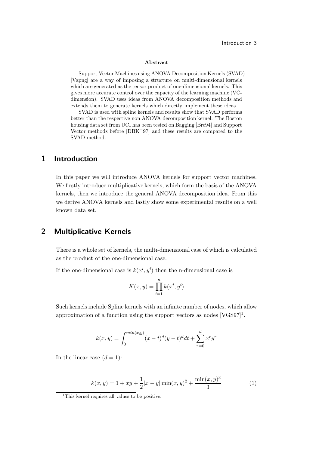#### Introduction 3

#### Abstract

Support Vector Machines using ANOVA Decomposition Kernels (SVAD) [Vapng] are a way of imposing a structure on multi-dimensional kernels which are generated as the tensor product of one-dimensional kernels. This gives more accurate control over the capacity of the learning machine (VCdimension). SVAD uses ideas from ANOVA decomposition methods and extends them to generate kernels which directly implement these ideas.

SVAD is used with spline kernels and results show that SVAD performs better than the respective non ANOVA decomposition kernel. The Boston housing data set from UCI has been tested on Bagging [Bre94] and Support Vector methods before [DBK+97] and these results are compared to the SVAD method.

### 1 Introduction

In this paper we will introduce ANOVA kernels for support vector machines. We firstly introduce multiplicative kernels, which form the basis of the ANOVA kernels, then we introduce the general ANOVA decomposition idea. From this we derive ANOVA kernels and lastly show some experimental results on a well known data set.

#### 2 Multiplicative Kernels

There is a whole set of kernels, the multi-dimensional case of which is calculated as the product of the one-dimensional case.

If the one-dimensional case is  $k(x^i, y^i)$  then the n-dimensional case is

$$
K(x, y) = \prod_{i=1}^{n} k(x^i, y^i)
$$

Such kernels include Spline kernels with an infinite number of nodes, which allow approximation of a function using the support vectors as nodes  $[*VGS97*]$ <sup>1</sup>.

$$
k(x,y) = \int_0^{\min(x,y)} (x-t)^d (y-t)^d dt + \sum_{r=0}^d x^r y^r
$$

In the linear case  $(d = 1)$ :

$$
k(x, y) = 1 + xy + \frac{1}{2}|x - y| \min(x, y)^{2} + \frac{\min(x, y)^{3}}{3}
$$
 (1)

<sup>&</sup>lt;sup>1</sup>This kernel requires all values to be positive.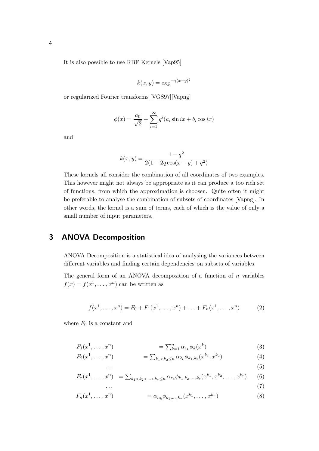It is also possible to use RBF Kernels [Vap95]

$$
k(x, y) = \exp^{-\gamma(x - y)^2}
$$

or regularized Fourier transforms [VGS97][Vapng]

$$
\phi(x) = \frac{a_0}{\sqrt{2}} + \sum_{i=1}^{\infty} q^i (a_i \sin ix + b_i \cos ix)
$$

and

$$
k(x, y) = \frac{1 - q^2}{2(1 - 2q\cos(x - y) + q^2)}
$$

These kernels all consider the combination of all coordinates of two examples. This however might not always be appropriate as it can produce a too rich set of functions, from which the approximation is choosen. Quite often it might be preferable to analyse the combination of subsets of coordinates [Vapng]. In other words, the kernel is a sum of terms, each of which is the value of only a small number of input parameters.

### 3 ANOVA Decomposition

ANOVA Decomposition is a statistical idea of analysing the variances between different variables and finding certain dependencies on subsets of variables.

The general form of an ANOVA decomposition of a function of  $n$  variables  $f(x) = f(x^1, \dots, x^n)$  can be written as

$$
f(x1,..., xn) = F0 + F1(x1,..., xn) + ... + Fn(x1,..., xn)
$$
 (2)

where  $F_0$  is a constant and

$$
F_1(x^1, ..., x^n) = \sum_{k=1}^n \alpha_{1_k} \phi_k(x^k)
$$
 (3)

$$
F_2(x^1, \ldots, x^n) = \sum_{k_1 < k_2 \le n} \alpha_{2k} \phi_{k_1, k_2}(x^{k_1}, x^{k_2}) \tag{4}
$$

$$
\cdots
$$
\n
$$
F_r(x^1, \ldots, x^n) = \sum_{k_1 < k_2 < \ldots < k_r \le n} \alpha_{r_k} \phi_{k_1, k_2, \ldots, k_r} (x^{k_1}, x^{k_2}, \ldots, x^{k_r}) \tag{6}
$$

$$
\cdots \hspace{1.5cm} (7)
$$

$$
F_n(x^1, \dots, x^n) = \alpha_{n_k} \phi_{k_1, \dots, k_n}(x^{k_1}, \dots, x^{k_n})
$$
\n(8)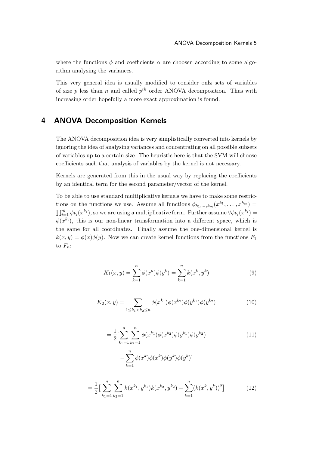where the functions  $\phi$  and coefficients  $\alpha$  are choosen according to some algorithm analysing the variances.

This very general idea is usually modified to consider onlz sets of variables of size p less than n and called  $p^{th}$  order ANOVA decomposition. Thus with increasing order hopefully a more exact approximation is found.

### 4 ANOVA Decomposition Kernels

The ANOVA decomposition idea is very simplistically converted into kernels by ignoring the idea of analysing variances and concentrating on all possible subsets of variables up to a certain size. The heuristic here is that the SVM will choose coefficients such that analysis of variables by the kernel is not necessary.

Kernels are generated from this in the usual way by replacing the coefficients by an identical term for the second parameter/vector of the kernel.

To be able to use standard multiplicative kernels we have to make some restrictions on the functions we use. Assume all functions  $\phi_{k_1,\dots,k_m}(x^{k_1},\dots,x^{k_m}) =$  $\prod_{i=1}^m \phi_{k_i}(x^{k_i})$ , so we are using a multiplicative form. Further assume  $\forall \phi_{k_i}(x^{k_i}) =$  $\phi(x^{k_i})$ , this is our non-linear transformation into a different space, which is the same for all coordinates. Finally assume the one-dimensional kernel is  $k(x, y) = \phi(x)\phi(y)$ . Now we can create kernel functions from the functions  $F_1$ to  $F_n$ :

$$
K_1(x, y) = \sum_{k=1}^{n} \phi(x^k) \phi(y^k) = \sum_{k=1}^{n} k(x^k, y^k)
$$
 (9)

$$
K_2(x,y) = \sum_{1 \le k_1 < k_2 \le n} \phi(x^{k_1}) \phi(x^{k_2}) \phi(y^{k_1}) \phi(y^{k_2}) \tag{10}
$$

$$
= \frac{1}{2} \left[ \sum_{k_1=1}^n \sum_{k_2=1}^n \phi(x^{k_1}) \phi(x^{k_2}) \phi(y^{k_1}) \phi(y^{k_2}) - \sum_{k_1=1}^n \phi(x^k) \phi(x^k) \phi(y^k) \phi(y^k) \right]
$$
\n(11)

$$
= \frac{1}{2} \left[ \sum_{k_1=1}^n \sum_{k_2=1}^n k(x^{k_1}, y^{k_1}) k(x^{k_2}, y^{k_2}) - \sum_{k=1}^n (k(x^k, y^k))^2 \right]
$$
(12)

 $k=1$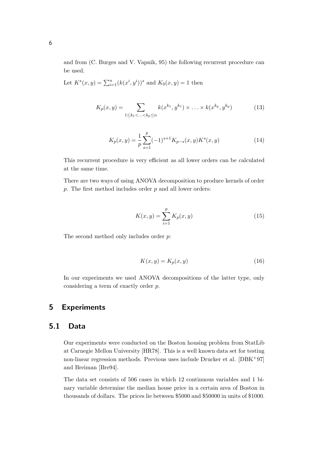and from (C. Burges and V. Vapnik, 95) the following recurrent procedure can be used.

Let 
$$
K^s(x, y) = \sum_{i=1}^n (k(x^i, y^i))^s
$$
 and  $K_0(x, y) = 1$  then

$$
K_p(x, y) = \sum_{1 \le k_1 < \ldots < k_p \le n} k(x^{k_1}, y^{k_1}) \times \ldots \times k(x^{k_p}, y^{k_p}) \tag{13}
$$

$$
K_p(x,y) = \frac{1}{p} \sum_{s=1}^p (-1)^{s+1} K_{p-s}(x,y) K^s(x,y)
$$
 (14)

This recurrent procedure is very efficient as all lower orders can be calculated at the same time.

There are two ways of using ANOVA decomposition to produce kernels of order  $p.$  The first method includes order  $p$  and all lower orders:

$$
K(x, y) = \sum_{i=1}^{p} K_p(x, y)
$$
 (15)

The second method only includes order p:

$$
K(x, y) = K_p(x, y)
$$
\n<sup>(16)</sup>

In our experiments we used ANOVA decompositions of the latter type, only considering a term of exactly order p.

#### 5 Experiments

#### 5.1 Data

Our experiments were conducted on the Boston housing problem from StatLib at Carnegie Mellon University [HR78]. This is a well known data set for testing non-linear regression methods. Previous uses include Drucker et al. [DBK+97] and Breiman [Bre94].

The data set consists of 506 cases in which 12 continuous variables and 1 binary variable determine the median house price in a certain area of Boston in thousands of dollars. The prices lie between \$5000 and \$50000 in units of \$1000.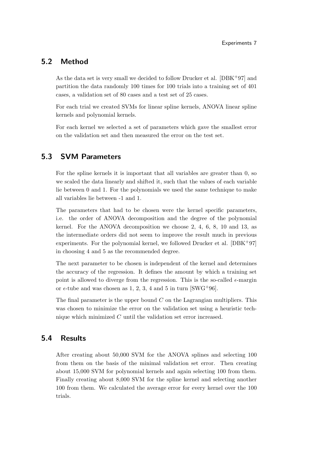### 5.2 Method

As the data set is very small we decided to follow Drucker et al. [DBK+97] and partition the data randomly 100 times for 100 trials into a training set of 401 cases, a validation set of 80 cases and a test set of 25 cases.

For each trial we created SVMs for linear spline kernels, ANOVA linear spline kernels and polynomial kernels.

For each kernel we selected a set of parameters which gave the smallest error on the validation set and then measured the error on the test set.

### 5.3 SVM Parameters

For the spline kernels it is important that all variables are greater than 0, so we scaled the data linearly and shifted it, such that the values of each variable lie between 0 and 1. For the polynomials we used the same technique to make all variables lie between -1 and 1.

The parameters that had to be chosen were the kernel specific parameters, i.e. the order of ANOVA decomposition and the degree of the polynomial kernel. For the ANOVA decomposition we choose 2, 4, 6, 8, 10 and 13, as the intermediate orders did not seem to improve the result much in previous experiments. For the polynomial kernel, we followed Drucker et al.  $[DBK+97]$ in choosing 4 and 5 as the recommended degree.

The next parameter to be chosen is independent of the kernel and determines the accuracy of the regression. It defines the amount by which a training set point is allowed to diverge from the regression. This is the so-called  $\epsilon$ -margin or  $\epsilon$ -tube and was chosen as 1, 2, 3, 4 and 5 in turn [SWG<sup>+96]</sup>.

The final parameter is the upper bound  $C$  on the Lagrangian multipliers. This was chosen to minimize the error on the validation set using a heuristic technique which minimized C until the validation set error increased.

### 5.4 Results

After creating about 50,000 SVM for the ANOVA splines and selecting 100 from them on the basis of the minimal validation set error. Then creating about 15,000 SVM for polynomial kernels and again selecting 100 from them. Finally creating about 8,000 SVM for the spline kernel and selecting another 100 from them. We calculated the average error for every kernel over the 100 trials.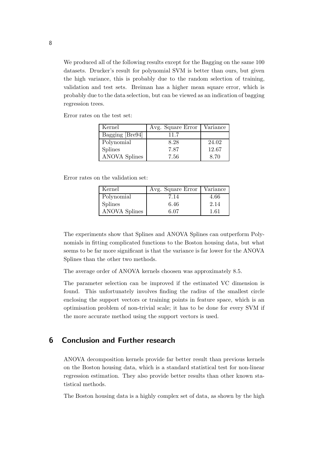We produced all of the following results except for the Bagging on the same 100 datasets. Drucker's result for polynomial SVM is better than ours, but given the high variance, this is probably due to the random selection of training, validation and test sets. Breiman has a higher mean square error, which is probably due to the data selection, but can be viewed as an indication of bagging regression trees.

Error rates on the test set:

| Kernel          | Avg. Square Error | Variance |
|-----------------|-------------------|----------|
| Bagging [Bre94] | 11.7              |          |
| Polynomial      | 8.28              | 24.02    |
| <b>Splines</b>  | 7.87              | 12.67    |
| ANOVA Splines   | 7.56              | 8.70     |

Error rates on the validation set:

| Kernel         | Avg. Square Error | Variance |
|----------------|-------------------|----------|
| Polynomial     | 7.14              | 4.66     |
| <b>Splines</b> | 6.46              | 2.14     |
| ANOVA Splines  | 6.07              | 1.61     |

The experiments show that Splines and ANOVA Splines can outperform Polynomials in fitting complicated functions to the Boston housing data, but what seems to be far more significant is that the variance is far lower for the ANOVA Splines than the other two methods.

The average order of ANOVA kernels choosen was approximately 8.5.

The parameter selection can be improved if the estimated VC dimension is found. This unfortunately involves finding the radius of the smallest circle enclosing the support vectors or training points in feature space, which is an optimisation problem of non-trivial scale; it has to be done for every SVM if the more accurate method using the support vectors is used.

#### 6 Conclusion and Further research

ANOVA decomposition kernels provide far better result than previous kernels on the Boston housing data, which is a standard statistical test for non-linear regression estimation. They also provide better results than other known statistical methods.

The Boston housing data is a highly complex set of data, as shown by the high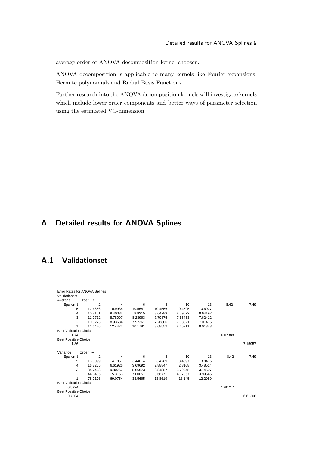average order of ANOVA decomposition kernel choosen.

ANOVA decomposition is applicable to many kernels like Fourier expansions, Hermite polynomials and Radial Basis Functions.

Further research into the ANOVA decomposition kernels will investigate kernels which include lower order components and better ways of parameter selection using the estimated VC-dimension.

### A Detailed results for ANOVA Splines

### A.1 Validationset

| Validationset                                                                    |         |
|----------------------------------------------------------------------------------|---------|
| Order $\rightarrow$<br>Average                                                   |         |
| Epsilon $\downarrow$<br>8<br>6<br>13<br>2<br>4<br>10<br>8.42                     | 7.49    |
| 5<br>12.4686<br>10.9934<br>10.5647<br>10.4556<br>10.4595<br>10.6977              |         |
| 10.8151<br>9.40033<br>8.8315<br>8.64783<br>8.59072<br>8.64192<br>4               |         |
| 3<br>11.2732<br>8.23963<br>7.79875<br>7.65453<br>7.62412<br>8.78097              |         |
| $\overline{2}$<br>7.26806<br>10.8223<br>8.93634<br>7.92361<br>7.08321<br>7.01415 |         |
| 11.6426<br>12.4472<br>10.1781<br>8.68552<br>8.45711<br>8.01343                   |         |
| <b>Best Validation Choice</b>                                                    |         |
| 1.74<br>6.07388                                                                  |         |
| <b>Best Possible Choice</b>                                                      |         |
| 1.86                                                                             | 7.15957 |
| Variance<br>Order $\rightarrow$                                                  |         |
| Epsilon $\downarrow$<br>6<br>8<br>13<br>8.42<br>10<br>2<br>4                     | 7.49    |
| 5<br>13.3099<br>4.7851<br>3.44014<br>3.4289<br>3.4397<br>3.8416                  |         |
| 4<br>16.3255<br>6.61926<br>3.69692<br>2.8108<br>3.48514<br>2.88847               |         |
| 3<br>34.7403<br>9.80767<br>5.66673<br>3.84857<br>3.72945<br>3.14507              |         |
| 2<br>44.0485<br>15.3163<br>7.00057<br>3.66771<br>4.37857<br>3.99546              |         |
| 78.7126<br>13.8619<br>13.145<br>69.0754<br>33.5665<br>12.2989                    |         |
| <b>Best Validation Choice</b>                                                    |         |
| 0.5924<br>1.60717                                                                |         |
| <b>Best Possible Choice</b>                                                      |         |
| 0.7804                                                                           | 6.61306 |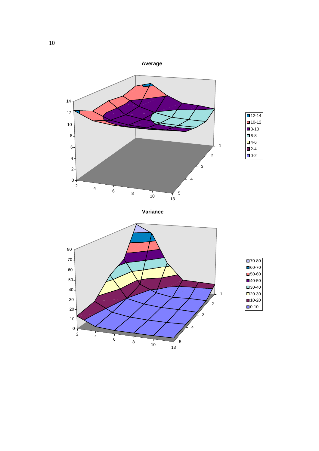

**Variance**



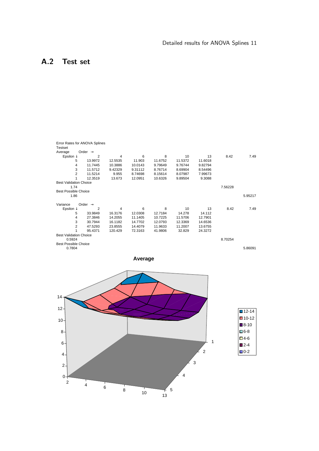## A.2 Test set

|                               | Error Rates for ANOVA Splines |         |         |         |         |         |         |         |
|-------------------------------|-------------------------------|---------|---------|---------|---------|---------|---------|---------|
| <b>Testset</b>                |                               |         |         |         |         |         |         |         |
| Average                       | Order $\rightarrow$           |         |         |         |         |         |         |         |
| Epsilon $\downarrow$          | $\overline{2}$                | 4       | 6       | 8       | 10      | 13      | 8.42    | 7.49    |
| 5                             | 13.9972                       | 12.5535 | 11.903  | 11.6752 | 11.5372 | 11.6018 |         |         |
| 4                             | 11.7445                       | 10.3886 | 10.0143 | 9.79649 | 9.76744 | 9.82794 |         |         |
| 3                             | 11.5712                       | 9.42329 | 9.31112 | 8.76714 | 8.69904 | 8.54496 |         |         |
| $\overline{2}$                | 11.5214                       | 9.955   | 8.74698 | 8.15614 | 8.07987 | 7.99673 |         |         |
|                               | 12.3519                       | 13.673  | 12.0951 | 10.6326 | 9.89504 | 9.3088  |         |         |
| <b>Best Validation Choice</b> |                               |         |         |         |         |         |         |         |
| 1.74                          |                               |         |         |         |         |         | 7.56228 |         |
| <b>Best Possible Choice</b>   |                               |         |         |         |         |         |         |         |
| 1.86                          |                               |         |         |         |         |         |         | 5.95217 |
|                               |                               |         |         |         |         |         |         |         |
| Variance                      | Order $\rightarrow$           |         |         |         |         |         |         |         |
| Epsilon $\downarrow$          | 2                             | 4       | 6       | 8       | 10      | 13      | 8.42    | 7.49    |
| 5                             | 33.9849                       | 16.3176 | 12.0308 | 12.7184 | 14.278  | 14.112  |         |         |
| 4                             | 27.3846                       | 14.2055 | 11.1405 | 10.7225 | 11.5706 | 12.7901 |         |         |
| 3                             | 30.7944                       | 16.1182 | 14.7702 | 12.0793 | 12.3369 | 14.6536 |         |         |
| $\overline{2}$                | 47.5293                       | 23.8555 | 14.4079 | 11.9633 | 11.2007 | 13.6755 |         |         |
|                               | 95.4371                       | 120.429 | 72.3163 | 41.9806 | 32.829  | 24.3272 |         |         |
| <b>Best Validation Choice</b> |                               |         |         |         |         |         |         |         |
| 0.5924                        |                               |         |         |         |         |         | 8.70254 |         |
| <b>Best Possible Choice</b>   |                               |         |         |         |         |         |         |         |
| 0.7804                        |                               |         |         |         |         |         |         | 5.86091 |



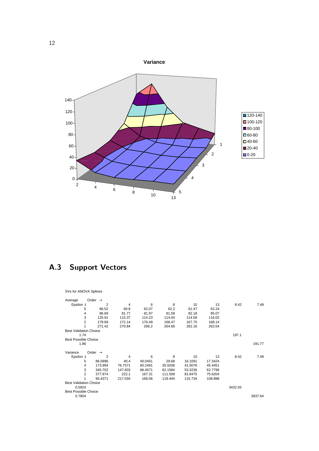

## A.3 Support Vectors

#### SVs for ANOVA Splines

|                               |                                                          |         |         |           |          |         | 7.49    |
|-------------------------------|----------------------------------------------------------|---------|---------|-----------|----------|---------|---------|
| 66.52                         | 60.8                                                     | 62.07   |         | 61.47     | 62.24    |         |         |
|                               | 81.77                                                    | 81.97   | 81.58   | 82.18     | 85.07    |         |         |
| 125.91                        | 115.37                                                   | 114.23  | 114.04  | 114.58    | 116.02   |         |         |
| 179.69                        | 172.14                                                   | 170.49  | 168.47  | 167.75    | 168.14   |         |         |
| 271.42                        | 270.84                                                   | 266.2   | 264.66  | 262.16    | 262.04   |         |         |
| <b>Best Validation Choice</b> |                                                          |         |         |           |          |         |         |
|                               |                                                          |         |         |           |          | 197.1   |         |
| <b>Best Possible Choice</b>   |                                                          |         |         |           |          |         |         |
|                               |                                                          |         |         |           |          |         | 191.77  |
|                               |                                                          |         |         |           |          |         |         |
|                               |                                                          |         |         |           |          |         |         |
| $\overline{2}$                | 4                                                        | 6       | 8       |           | 13       | 8.42    | 7.49    |
| 86.5896                       | 40.4                                                     | 40.0451 | 29.68   | 16.1091   | 17.3424  |         |         |
| 173.994                       | 76.7571                                                  | 60.2491 | 35.5036 | 41.5076   | 45.4451  |         |         |
| 345.702                       | 147.833                                                  | 86.4571 | 62.1584 | 53.3236   | 62.7796  |         |         |
| 377.974                       | 222.1                                                    | 167.31  | 111.509 | 81.8475   | 75.6204  |         |         |
| 95.4371                       | 217.034                                                  | 168.06  | 118.444 | 115.734   | 108.898  |         |         |
| <b>Best Validation Choice</b> |                                                          |         |         |           |          |         |         |
|                               |                                                          |         |         |           |          | 3432.55 |         |
| <b>Best Possible Choice</b>   |                                                          |         |         |           |          |         |         |
|                               |                                                          |         |         |           |          |         | 3937.64 |
|                               | Order $\rightarrow$<br>2<br>86.69<br>Order $\rightarrow$ | 4       | 6       | 8<br>62.2 | 10<br>10 | 13      | 8.42    |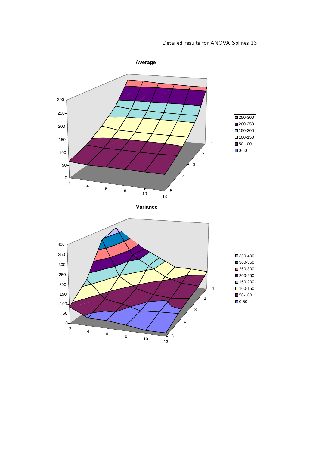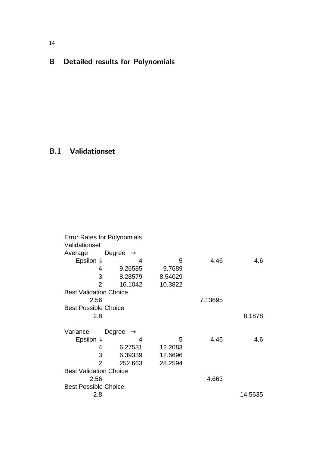# B Detailed results for Polynomials

## B.1 Validationset

| Validationset                 | <b>Error Rates for Polynomials</b> |         |         |         |
|-------------------------------|------------------------------------|---------|---------|---------|
| Average                       | Degree $\rightarrow$               |         |         |         |
| Epsilon $\downarrow$          | 4                                  | 5       | 4.46    | 4.6     |
| 4                             | 9.26585                            | 9.7689  |         |         |
| 3                             | 8.28579                            | 8.54029 |         |         |
| 2                             | 16.1042                            | 10.3822 |         |         |
| <b>Best Validation Choice</b> |                                    |         |         |         |
| 2.56                          |                                    |         | 7.13695 |         |
| <b>Best Possible Choice</b>   |                                    |         |         |         |
| 2.8                           |                                    |         |         | 8.1878  |
| Variance                      | Degree<br>$\rightarrow$            |         |         |         |
| Epsilon $\downarrow$          | 4                                  | 5       | 4.46    | 4.6     |
| 4                             | 6.27531                            | 12.2083 |         |         |
| 3                             | 6.39339                            | 12.6696 |         |         |
| 2                             | 252.663                            | 28.2594 |         |         |
| <b>Best Validation Choice</b> |                                    |         |         |         |
| 2.56                          |                                    |         | 4.663   |         |
| <b>Best Possible Choice</b>   |                                    |         |         |         |
| 2.8                           |                                    |         |         | 14.5635 |

**Average**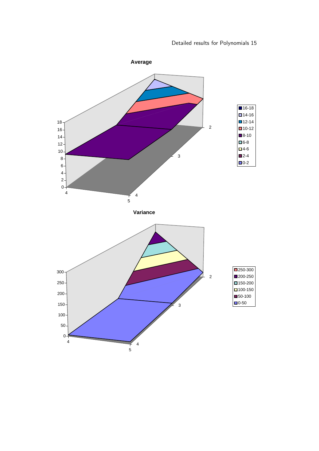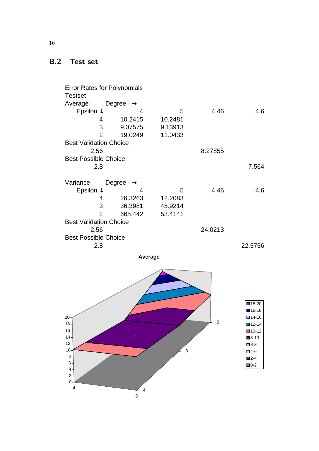### B.2 Test set

Error Rates for Polynomials **Testset** Average Degree → Epsilon  $\downarrow$  4 4 5 4.46 4.6 4 10.2415 10.2481 3 9.07575 9.13913 2 19.0249 11.0433 Best Validation Choice 2.56 8.27855 Best Possible Choice 2.8 7.564 Variance Degree → Epsilon  $\downarrow$  4 4 5 4.46 4.6 4 26.3263 12.2083 3 36.3981 45.9214 2 665.442 53.4141 Best Validation Choice 2.56 24.0213 Best Possible Choice 2.8 22.5756

**Average**



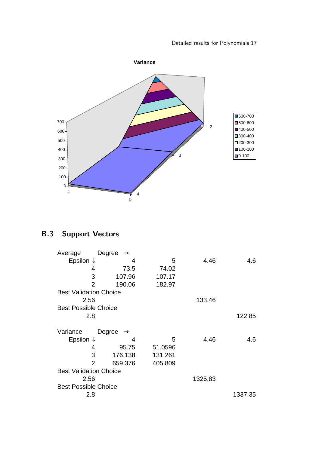

# B.3 Support Vectors

| Average                       | Degree $\rightarrow$    |         |         |         |  |
|-------------------------------|-------------------------|---------|---------|---------|--|
| Epsilon $\downarrow$          | 4                       | 5       | 4.46    | 4.6     |  |
| 4                             | 73.5                    | 74.02   |         |         |  |
| 3                             | 107.96                  | 107.17  |         |         |  |
| 2                             | 190.06                  | 182.97  |         |         |  |
| <b>Best Validation Choice</b> |                         |         |         |         |  |
| 2.56                          |                         |         | 133.46  |         |  |
| <b>Best Possible Choice</b>   |                         |         |         |         |  |
| 2.8                           |                         |         |         | 122.85  |  |
|                               |                         |         |         |         |  |
| Variance                      | Degree<br>$\rightarrow$ |         |         |         |  |
| Epsilon $\downarrow$          | 4                       | 5       | 4.46    | 4.6     |  |
| 4                             | 95.75                   | 51.0596 |         |         |  |
| 3                             | 176.138                 | 131.261 |         |         |  |
| $\overline{2}$                | 659.376                 | 405.809 |         |         |  |
| <b>Best Validation Choice</b> |                         |         |         |         |  |
| 2.56                          |                         |         | 1325.83 |         |  |
| <b>Best Possible Choice</b>   |                         |         |         |         |  |
| 2.8                           |                         |         |         | 1337.35 |  |
|                               |                         |         |         |         |  |

**Average**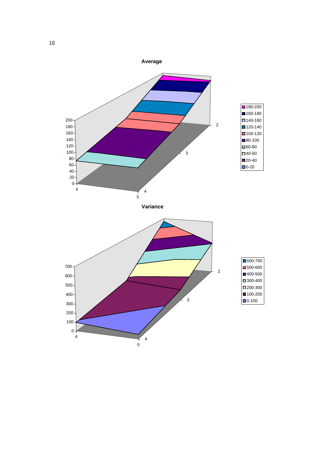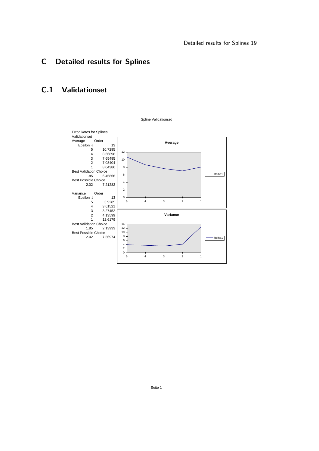## C Detailed results for Splines

### C.1 Validationset

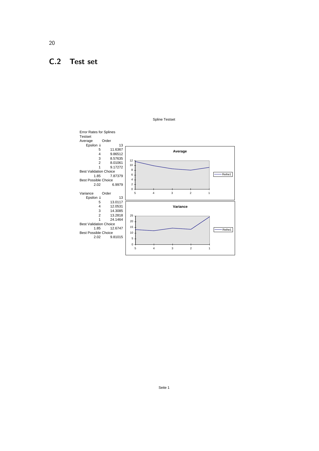### C.2 Test set





20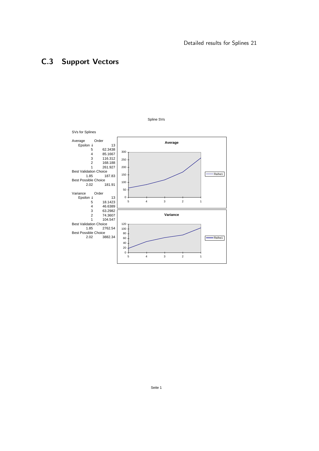## C.3 Support Vectors



Spline SVs